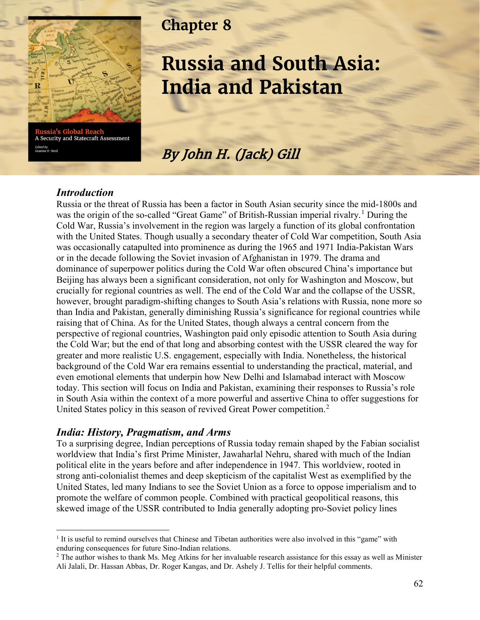

Glob A Security and Statecraft Assessment Edited by<br>Graeme P. Herd

## **Chapter 8**

# **Russia and South Asia: India and Pakistan**

By John H. (Jack) Gill

#### *Introduction*

Russia or the threat of Russia has been a factor in South Asian security since the mid-1800s and was the origin of the so-called "Great Game" of British-Russian imperial rivalry.<sup>[1](#page-0-0)</sup> During the Cold War, Russia's involvement in the region was largely a function of its global confrontation with the United States. Though usually a secondary theater of Cold War competition, South Asia was occasionally catapulted into prominence as during the 1965 and 1971 India-Pakistan Wars or in the decade following the Soviet invasion of Afghanistan in 1979. The drama and dominance of superpower politics during the Cold War often obscured China's importance but Beijing has always been a significant consideration, not only for Washington and Moscow, but crucially for regional countries as well. The end of the Cold War and the collapse of the USSR, however, brought paradigm-shifting changes to South Asia's relations with Russia, none more so than India and Pakistan, generally diminishing Russia's significance for regional countries while raising that of China. As for the United States, though always a central concern from the perspective of regional countries, Washington paid only episodic attention to South Asia during the Cold War; but the end of that long and absorbing contest with the USSR cleared the way for greater and more realistic U.S. engagement, especially with India. Nonetheless, the historical background of the Cold War era remains essential to understanding the practical, material, and even emotional elements that underpin how New Delhi and Islamabad interact with Moscow today. This section will focus on India and Pakistan, examining their responses to Russia's role in South Asia within the context of a more powerful and assertive China to offer suggestions for United States policy in this season of revived Great Power competition.<sup>[2](#page-0-1)</sup>

#### *India: History, Pragmatism, and Arms*

To a surprising degree, Indian perceptions of Russia today remain shaped by the Fabian socialist worldview that India's first Prime Minister, Jawaharlal Nehru, shared with much of the Indian political elite in the years before and after independence in 1947. This worldview, rooted in strong anti-colonialist themes and deep skepticism of the capitalist West as exemplified by the United States, led many Indians to see the Soviet Union as a force to oppose imperialism and to promote the welfare of common people. Combined with practical geopolitical reasons, this skewed image of the USSR contributed to India generally adopting pro-Soviet policy lines

<span id="page-0-0"></span><sup>&</sup>lt;sup>1</sup> It is useful to remind ourselves that Chinese and Tibetan authorities were also involved in this "game" with enduring consequences for future Sino-Indian relations.<br><sup>2</sup> The author wishes to thank Ms. Meg Atkins for her invaluable research assistance for this essay as well as Minister

<span id="page-0-1"></span>Ali Jalali, Dr. Hassan Abbas, Dr. Roger Kangas, and Dr. Ashely J. Tellis for their helpful comments.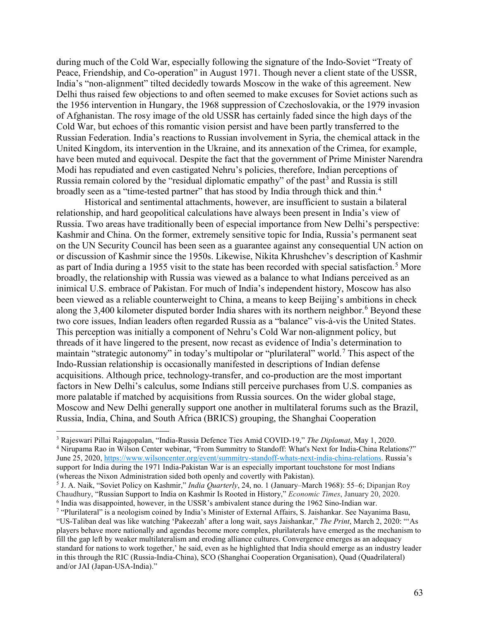during much of the Cold War, especially following the signature of the Indo-Soviet "Treaty of Peace, Friendship, and Co-operation" in August 1971. Though never a client state of the USSR, India's "non-alignment" tilted decidedly towards Moscow in the wake of this agreement. New Delhi thus raised few objections to and often seemed to make excuses for Soviet actions such as the 1956 intervention in Hungary, the 1968 suppression of Czechoslovakia, or the 1979 invasion of Afghanistan. The rosy image of the old USSR has certainly faded since the high days of the Cold War, but echoes of this romantic vision persist and have been partly transferred to the Russian Federation. India's reactions to Russian involvement in Syria, the chemical attack in the United Kingdom, its intervention in the Ukraine, and its annexation of the Crimea, for example, have been muted and equivocal. Despite the fact that the government of Prime Minister Narendra Modi has repudiated and even castigated Nehru's policies, therefore, Indian perceptions of Russia remain colored by the "residual diplomatic empathy" of the past<sup>[3](#page-1-0)</sup> and Russia is still broadly seen as a "time-tested partner" that has stood by India through thick and thin.<sup>[4](#page-1-1)</sup>

Historical and sentimental attachments, however, are insufficient to sustain a bilateral relationship, and hard geopolitical calculations have always been present in India's view of Russia. Two areas have traditionally been of especial importance from New Delhi's perspective: Kashmir and China. On the former, extremely sensitive topic for India, Russia's permanent seat on the UN Security Council has been seen as a guarantee against any consequential UN action on or discussion of Kashmir since the 1950s. Likewise, Nikita Khrushchev's description of Kashmir as part of India during a 19[5](#page-1-2)5 visit to the state has been recorded with special satisfaction.<sup>5</sup> More broadly, the relationship with Russia was viewed as a balance to what Indians perceived as an inimical U.S. embrace of Pakistan. For much of India's independent history, Moscow has also been viewed as a reliable counterweight to China, a means to keep Beijing's ambitions in check along the 3,400 kilometer disputed border India shares with its northern neighbor.<sup>[6](#page-1-3)</sup> Beyond these two core issues, Indian leaders often regarded Russia as a "balance" vis-à-vis the United States. This perception was initially a component of Nehru's Cold War non-alignment policy, but threads of it have lingered to the present, now recast as evidence of India's determination to maintain "strategic autonomy" in today's multipolar or "plurilateral" world.<sup>[7](#page-1-4)</sup> This aspect of the Indo-Russian relationship is occasionally manifested in descriptions of Indian defense acquisitions. Although price, technology-transfer, and co-production are the most important factors in New Delhi's calculus, some Indians still perceive purchases from U.S. companies as more palatable if matched by acquisitions from Russia sources. On the wider global stage, Moscow and New Delhi generally support one another in multilateral forums such as the Brazil, Russia, India, China, and South Africa (BRICS) grouping, the Shanghai Cooperation

<span id="page-1-0"></span> <sup>3</sup> Rajeswari Pillai Rajagopalan, "India-Russia Defence Ties Amid COVID-19," *The Diplomat*, May 1, 2020.

<span id="page-1-1"></span><sup>4</sup> Nirupama Rao in Wilson Center webinar, "From Summitry to Standoff: What's Next for India-China Relations?" June 25, 2020, https://www.wilsoncenter.org/event/summitry-standoff-whats-next-india-china-relations. Russia's support for India during the 1971 India-Pakistan War is an especially important touchstone for most Indians (whereas the Nixon Administration sided both openly and covertly with Pakistan).

<span id="page-1-2"></span><sup>5</sup> J. A. Naik, "Soviet Policy on Kashmir," *India Quarterly*, 24, no. 1 (January–March 1968): 55–6; Dipanjan Roy Chaudhury, "Russian Support to India on Kashmir Is Rooted in History," *Economic Times*, January 20, 2020. <sup>6</sup> India was disappointed, however, in the USSR's ambivalent stance during the 1962 Sino-Indian war.

<span id="page-1-4"></span><span id="page-1-3"></span><sup>&</sup>lt;sup>7</sup> "Plurilateral" is a neologism coined by India's Minister of External Affairs, S. Jaishankar. See Nayanima Basu, "US-Taliban deal was like watching 'Pakeezah' after a long wait, says Jaishankar," *The Print*, March 2, 2020: "'As players behave more nationally and agendas become more complex, plurilaterals have emerged as the mechanism to fill the gap left by weaker multilateralism and eroding alliance cultures. Convergence emerges as an adequacy standard for nations to work together,' he said, even as he highlighted that India should emerge as an industry leader in this through the RIC (Russia-India-China), SCO (Shanghai Cooperation Organisation), Quad (Quadrilateral) and/or JAI (Japan-USA-India)."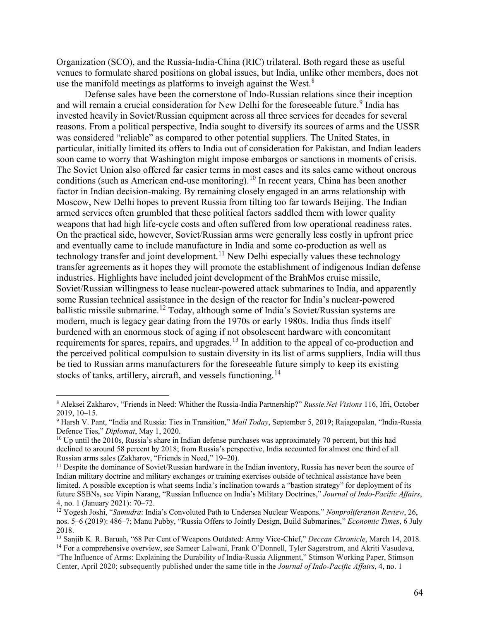Organization (SCO), and the Russia-India-China (RIC) trilateral. Both regard these as useful venues to formulate shared positions on global issues, but India, unlike other members, does not use the manifold meetings as platforms to inveigh against the West.<sup>[8](#page-2-0)</sup>

Defense sales have been the cornerstone of Indo-Russian relations since their inception and will remain a crucial consideration for New Delhi for the foreseeable future.<sup>[9](#page-2-1)</sup> India has invested heavily in Soviet/Russian equipment across all three services for decades for several reasons. From a political perspective, India sought to diversify its sources of arms and the USSR was considered "reliable" as compared to other potential suppliers. The United States, in particular, initially limited its offers to India out of consideration for Pakistan, and Indian leaders soon came to worry that Washington might impose embargos or sanctions in moments of crisis. The Soviet Union also offered far easier terms in most cases and its sales came without onerous conditions (such as American end-use monitoring).<sup>[10](#page-2-2)</sup> In recent years, China has been another factor in Indian decision-making. By remaining closely engaged in an arms relationship with Moscow, New Delhi hopes to prevent Russia from tilting too far towards Beijing. The Indian armed services often grumbled that these political factors saddled them with lower quality weapons that had high life-cycle costs and often suffered from low operational readiness rates. On the practical side, however, Soviet/Russian arms were generally less costly in upfront price and eventually came to include manufacture in India and some co-production as well as technology transfer and joint development.<sup>[11](#page-2-3)</sup> New Delhi especially values these technology transfer agreements as it hopes they will promote the establishment of indigenous Indian defense industries. Highlights have included joint development of the BrahMos cruise missile, Soviet/Russian willingness to lease nuclear-powered attack submarines to India, and apparently some Russian technical assistance in the design of the reactor for India's nuclear-powered ballistic missile submarine.<sup>[12](#page-2-4)</sup> Today, although some of India's Soviet/Russian systems are modern, much is legacy gear dating from the 1970s or early 1980s. India thus finds itself burdened with an enormous stock of aging if not obsolescent hardware with concomitant requirements for spares, repairs, and upgrades.<sup>[13](#page-2-5)</sup> In addition to the appeal of co-production and the perceived political compulsion to sustain diversity in its list of arms suppliers, India will thus be tied to Russian arms manufacturers for the foreseeable future simply to keep its existing stocks of tanks, artillery, aircraft, and vessels functioning.<sup>[14](#page-2-6)</sup>

<span id="page-2-0"></span> <sup>8</sup> Aleksei Zakharov, "Friends in Need: Whither the Russia-India Partnership?" *Russie.Nei Visions* 116, Ifri, October 2019, 10–15.

<span id="page-2-1"></span><sup>9</sup> Harsh V. Pant, "India and Russia: Ties in Transition," *Mail Today*, September 5, 2019; Rajagopalan, "India-Russia Defence Ties," *Diplomat*, May 1, 2020.

<span id="page-2-2"></span> $10$  Up until the 2010s, Russia's share in Indian defense purchases was approximately 70 percent, but this had declined to around 58 percent by 2018; from Russia's perspective, India accounted for almost one third of all Russian arms sales (Zakharov, "Friends in Need," 19–20).

<span id="page-2-3"></span><sup>&</sup>lt;sup>11</sup> Despite the dominance of Soviet/Russian hardware in the Indian inventory, Russia has never been the source of Indian military doctrine and military exchanges or training exercises outside of technical assistance have been limited. A possible exception is what seems India's inclination towards a "bastion strategy" for deployment of its future SSBNs, see Vipin Narang, "Russian Influence on India's Military Doctrines," *Journal of Indo-Pacific Affairs*, 4, no. 1 (January 2021): 70–72.

<span id="page-2-4"></span><sup>12</sup> Yogesh Joshi, "*Samudra*: India's Convoluted Path to Undersea Nuclear Weapons." *Nonproliferation Review*, 26, nos. 5–6 (2019): 486–7; Manu Pubby, "Russia Offers to Jointly Design, Build Submarines," *Economic Times*, 6 July 2018.

<span id="page-2-5"></span><sup>&</sup>lt;sup>13</sup> Sanjib K. R. Baruah, "68 Per Cent of Weapons Outdated: Army Vice-Chief," *Deccan Chronicle*, March 14, 2018.<br><sup>14</sup> For a comprehensive overview, see Sameer Lalwani, Frank O'Donnell, Tyler Sagerstrom, and Akriti Vasudev

<span id="page-2-6"></span><sup>&</sup>quot;The Influence of Arms: Explaining the Durability of India-Russia Alignment," Stimson Working Paper, Stimson Center, April 2020; subsequently published under the same title in the *Journal of Indo-Pacific Affairs*, 4, no. 1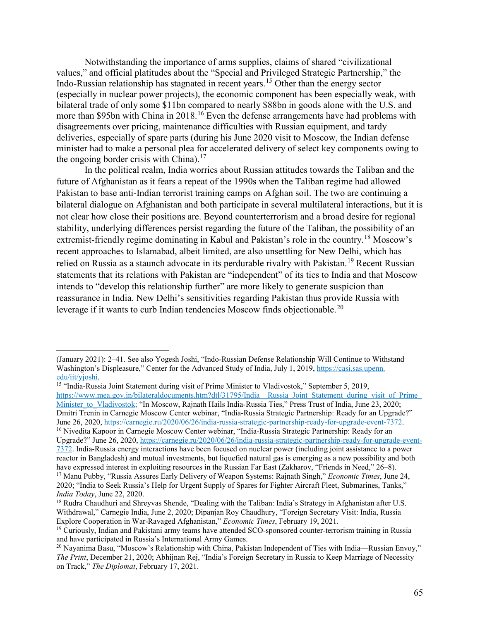Notwithstanding the importance of arms supplies, claims of shared "civilizational values," and official platitudes about the "Special and Privileged Strategic Partnership," the Indo-Russian relationship has stagnated in recent years.[15](#page-3-0) Other than the energy sector (especially in nuclear power projects), the economic component has been especially weak, with bilateral trade of only some \$11bn compared to nearly \$88bn in goods alone with the U.S. and more than \$95bn with China in 2018.<sup>[16](#page-3-1)</sup> Even the defense arrangements have had problems with disagreements over pricing, maintenance difficulties with Russian equipment, and tardy deliveries, especially of spare parts (during his June 2020 visit to Moscow, the Indian defense minister had to make a personal plea for accelerated delivery of select key components owing to the ongoing border crisis with China).<sup>[17](#page-3-2)</sup>

In the political realm, India worries about Russian attitudes towards the Taliban and the future of Afghanistan as it fears a repeat of the 1990s when the Taliban regime had allowed Pakistan to base anti-Indian terrorist training camps on Afghan soil. The two are continuing a bilateral dialogue on Afghanistan and both participate in several multilateral interactions, but it is not clear how close their positions are. Beyond counterterrorism and a broad desire for regional stability, underlying differences persist regarding the future of the Taliban, the possibility of an extremist-friendly regime dominating in Kabul and Pakistan's role in the country.[18](#page-3-3) Moscow's recent approaches to Islamabad, albeit limited, are also unsettling for New Delhi, which has relied on Russia as a staunch advocate in its perdurable rivalry with Pakistan.<sup>[19](#page-3-4)</sup> Recent Russian statements that its relations with Pakistan are "independent" of its ties to India and that Moscow intends to "develop this relationship further" are more likely to generate suspicion than reassurance in India. New Delhi's sensitivities regarding Pakistan thus provide Russia with leverage if it wants to curb Indian tendencies Moscow finds objectionable.<sup>[20](#page-3-5)</sup>

 $\overline{a}$ 

<span id="page-3-1"></span><span id="page-3-0"></span>[https://www.mea.gov.in/bilateraldocuments.htm?dtl/31795/India\\_\\_Russia\\_Joint\\_Statement\\_during\\_visit\\_of\\_Prime\\_](https://www.mea.gov.in/bilateraldocuments.htm?dtl/31795/India__Russia_Joint_Statement_during_visit_of_Prime_Minister_to_Vladivostok) [Minister\\_to\\_Vladivostok;](https://www.mea.gov.in/bilateraldocuments.htm?dtl/31795/India__Russia_Joint_Statement_during_visit_of_Prime_Minister_to_Vladivostok) "In Moscow, Rajnath Hails India-Russia Ties," Press Trust of India, June 23, 2020; Dmitri Trenin in Carnegie Moscow Center webinar, "India-Russia Strategic Partnership: Ready for an Upgrade?" June 26, 2020, [https://carnegie.ru/2020/06/26/india-russia-strategic-partnership-ready-for-upgrade-event-7372.](https://carnegie.ru/2020/06/26/india-russia-strategic-partnership-ready-for-upgrade-event-7372) <sup>16</sup> Nivedita Kapoor in Carnegie Moscow Center webinar, "India-Russia Strategic Partnership: Ready for an Upgrade?" June 26, 2020[, https://carnegie.ru/2020/06/26/india-russia-strategic-partnership-ready-for-upgrade-event-](https://carnegie.ru/2020/06/26/india-russia-strategic-partnership-ready-for-upgrade-event-7372)[7372.](https://carnegie.ru/2020/06/26/india-russia-strategic-partnership-ready-for-upgrade-event-7372) India-Russia energy interactions have been focused on nuclear power (including joint assistance to a power reactor in Bangladesh) and mutual investments, but liquefied natural gas is emerging as a new possibility and both have expressed interest in exploiting resources in the Russian Far East (Zakharov, "Friends in Need," 26–8). <sup>17</sup> Manu Pubby, "Russia Assures Early Delivery of Weapon Systems: Rajnath Singh," *Economic Times*, June 24,

<sup>(</sup>January 2021): 2–41. See also Yogesh Joshi, "Indo-Russian Defense Relationship Will Continue to Withstand Washington's Displeasure," Center for the Advanced Study of India, July 1, 2019, [https://casi.sas.upenn.](https://casi.sas.upenn.edu/iit/yjoshi) [edu/iit/yjoshi.](https://casi.sas.upenn.edu/iit/yjoshi)<br><sup>15</sup> "India-Russia Joint Statement during visit of Prime Minister to Vladivostok," September 5, 2019,

<span id="page-3-2"></span><sup>2020; &</sup>quot;India to Seek Russia's Help for Urgent Supply of Spares for Fighter Aircraft Fleet, Submarines, Tanks," *India Today*, June 22, 2020.

<span id="page-3-3"></span><sup>&</sup>lt;sup>18</sup> Rudra Chaudhuri and Shreyvas Shende, "Dealing with the Taliban: India's Strategy in Afghanistan after U.S. Withdrawal," Carnegie India, June 2, 2020; Dipanjan Roy Chaudhury, "Foreign Secretary Visit: India, Russia Explore Cooperation in War-Ravaged Afghanistan," *Economic Times*, February 19, 2021.

<span id="page-3-4"></span><sup>19</sup> Curiously, Indian and Pakistani army teams have attended SCO-sponsored counter-terrorism training in Russia and have participated in Russia's International Army Games.

<span id="page-3-5"></span><sup>&</sup>lt;sup>20</sup> Nayanima Basu, "Moscow's Relationship with China, Pakistan Independent of Ties with India—Russian Envoy," *The Print*, December 21, 2020; Abhijnan Rej, "India's Foreign Secretary in Russia to Keep Marriage of Necessity on Track," *The Diplomat*, February 17, 2021.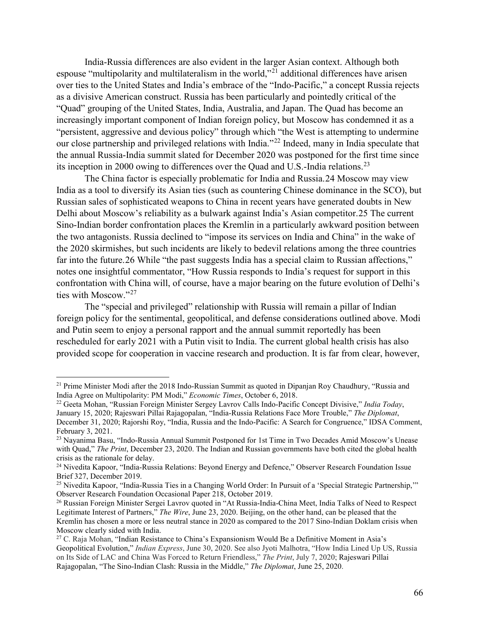India-Russia differences are also evident in the larger Asian context. Although both espouse "multipolarity and multilateralism in the world,"[21](#page-4-0) additional differences have arisen over ties to the United States and India's embrace of the "Indo-Pacific," a concept Russia rejects as a divisive American construct. Russia has been particularly and pointedly critical of the "Quad" grouping of the United States, India, Australia, and Japan. The Quad has become an increasingly important component of Indian foreign policy, but Moscow has condemned it as a "persistent, aggressive and devious policy" through which "the West is attempting to undermine our close partnership and privileged relations with India."[22](#page-4-1) Indeed, many in India speculate that the annual Russia-India summit slated for December 2020 was postponed for the first time since its inception in 2000 owing to differences over the Quad and U.S.-India relations.<sup>[23](#page-4-2)</sup>

The China factor is especially problematic for India and Russia.[24](#page-4-3) Moscow may view India as a tool to diversify its Asian ties (such as countering Chinese dominance in the SCO), but Russian sales of sophisticated weapons to China in recent years have generated doubts in New Delhi about Moscow's reliability as a bulwark against India's Asian competitor.[25](#page-4-4) The current Sino-Indian border confrontation places the Kremlin in a particularly awkward position between the two antagonists. Russia declined to "impose its services on India and China" in the wake of the 2020 skirmishes, but such incidents are likely to bedevil relations among the three countries far into the future. [26](#page-4-5) While "the past suggests India has a special claim to Russian affections," notes one insightful commentator, "How Russia responds to India's request for support in this confrontation with China will, of course, have a major bearing on the future evolution of Delhi's ties with Moscow."[27](#page-4-6)

The "special and privileged" relationship with Russia will remain a pillar of Indian foreign policy for the sentimental, geopolitical, and defense considerations outlined above. Modi and Putin seem to enjoy a personal rapport and the annual summit reportedly has been rescheduled for early 2021 with a Putin visit to India. The current global health crisis has also provided scope for cooperation in vaccine research and production. It is far from clear, however,

<span id="page-4-0"></span> $21$  Prime Minister Modi after the 2018 Indo-Russian Summit as quoted in Dipanjan Roy Chaudhury, "Russia and India Agree on Multipolarity: PM Modi," *Economic Times*, October 6, 2018.

<span id="page-4-1"></span><sup>22</sup> Geeta Mohan, "Russian Foreign Minister Sergey Lavrov Calls Indo-Pacific Concept Divisive," *India Today*, January 15, 2020; Rajeswari Pillai Rajagopalan, "India-Russia Relations Face More Trouble," *The Diplomat*, December 31, 2020; Rajorshi Roy, "India, Russia and the Indo-Pacific: A Search for Congruence," IDSA Comment, February 3, 2021.

<span id="page-4-2"></span><sup>&</sup>lt;sup>23</sup> Navanima Basu, "Indo-Russia Annual Summit Postponed for 1st Time in Two Decades Amid Moscow's Unease with Quad," *The Print*, December 23, 2020. The Indian and Russian governments have both cited the global health crisis as the rationale for delay.

<span id="page-4-3"></span><sup>&</sup>lt;sup>24</sup> Nivedita Kapoor, "India-Russia Relations: Beyond Energy and Defence," Observer Research Foundation Issue Brief 327, December 2019.

<span id="page-4-4"></span><sup>&</sup>lt;sup>25</sup> Nivedita Kapoor, "India-Russia Ties in a Changing World Order: In Pursuit of a 'Special Strategic Partnership," Observer Research Foundation Occasional Paper 218, October 2019.

<span id="page-4-5"></span><sup>26</sup> Russian Foreign Minister Sergei Lavrov quoted in "At Russia-India-China Meet, India Talks of Need to Respect Legitimate Interest of Partners," *The Wire*, June 23, 2020. Beijing, on the other hand, can be pleased that the Kremlin has chosen a more or less neutral stance in 2020 as compared to the 2017 Sino-Indian Doklam crisis when Moscow clearly sided with India.

<span id="page-4-6"></span><sup>&</sup>lt;sup>27</sup> C. Raja Mohan, "Indian Resistance to China's Expansionism Would Be a Definitive Moment in Asia's Geopolitical Evolution," *Indian Express*, June 30, 2020. See also Jyoti Malhotra, "How India Lined Up US, Russia on Its Side of LAC and China Was Forced to Return Friendless," *The Print*, July 7, 2020; Rajeswari Pillai Rajagopalan, "The Sino-Indian Clash: Russia in the Middle," *The Diplomat*, June 25, 2020.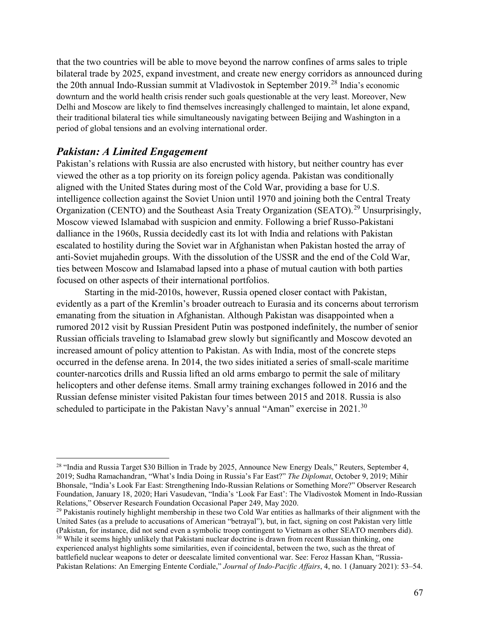that the two countries will be able to move beyond the narrow confines of arms sales to triple bilateral trade by 2025, expand investment, and create new energy corridors as announced during the 20th annual Indo-Russian summit at Vladivostok in September 2019. [28](#page-5-0) India's economic downturn and the world health crisis render such goals questionable at the very least. Moreover, New Delhi and Moscow are likely to find themselves increasingly challenged to maintain, let alone expand, their traditional bilateral ties while simultaneously navigating between Beijing and Washington in a period of global tensions and an evolving international order.

#### *Pakistan: A Limited Engagement*

Pakistan's relations with Russia are also encrusted with history, but neither country has ever viewed the other as a top priority on its foreign policy agenda. Pakistan was conditionally aligned with the United States during most of the Cold War, providing a base for U.S. intelligence collection against the Soviet Union until 1970 and joining both the Central Treaty Organization (CENTO) and the Southeast Asia Treaty Organization (SEATO).<sup>[29](#page-5-1)</sup> Unsurprisingly, Moscow viewed Islamabad with suspicion and enmity. Following a brief Russo-Pakistani dalliance in the 1960s, Russia decidedly cast its lot with India and relations with Pakistan escalated to hostility during the Soviet war in Afghanistan when Pakistan hosted the array of anti-Soviet mujahedin groups. With the dissolution of the USSR and the end of the Cold War, ties between Moscow and Islamabad lapsed into a phase of mutual caution with both parties focused on other aspects of their international portfolios.

Starting in the mid-2010s, however, Russia opened closer contact with Pakistan, evidently as a part of the Kremlin's broader outreach to Eurasia and its concerns about terrorism emanating from the situation in Afghanistan. Although Pakistan was disappointed when a rumored 2012 visit by Russian President Putin was postponed indefinitely, the number of senior Russian officials traveling to Islamabad grew slowly but significantly and Moscow devoted an increased amount of policy attention to Pakistan. As with India, most of the concrete steps occurred in the defense arena. In 2014, the two sides initiated a series of small-scale maritime counter-narcotics drills and Russia lifted an old arms embargo to permit the sale of military helicopters and other defense items. Small army training exchanges followed in 2016 and the Russian defense minister visited Pakistan four times between 2015 and 2018. Russia is also scheduled to participate in the Pakistan Navy's annual "Aman" exercise in  $2021$ .<sup>[30](#page-5-2)</sup>

<span id="page-5-0"></span><sup>&</sup>lt;sup>28</sup> "India and Russia Target \$30 Billion in Trade by 2025, Announce New Energy Deals," Reuters, September 4, 2019; Sudha Ramachandran, "What's India Doing in Russia's Far East?" *The Diplomat*, October 9, 2019; Mihir Bhonsale, "India's Look Far East: Strengthening Indo-Russian Relations or Something More?" Observer Research Foundation, January 18, 2020; Hari Vasudevan, "India's 'Look Far East': The Vladivostok Moment in Indo-Russian Relations," Observer Research Foundation Occasional Paper 249, May 2020.

<span id="page-5-1"></span> $29$  Pakistanis routinely highlight membership in these two Cold War entities as hallmarks of their alignment with the United Sates (as a prelude to accusations of American "betrayal"), but, in fact, signing on cost Pakistan very little (Pakistan, for instance, did not send even a symbolic troop contingent to Vietnam as other SEATO members did).

<span id="page-5-2"></span> $30$  While it seems highly unlikely that Pakistani nuclear doctrine is drawn from recent Russian thinking, one experienced analyst highlights some similarities, even if coincidental, between the two, such as the threat of battlefield nuclear weapons to deter or deescalate limited conventional war. See: Feroz Hassan Khan, "Russia-Pakistan Relations: An Emerging Entente Cordiale," *Journal of Indo-Pacific Affairs*, 4, no. 1 (January 2021): 53–54.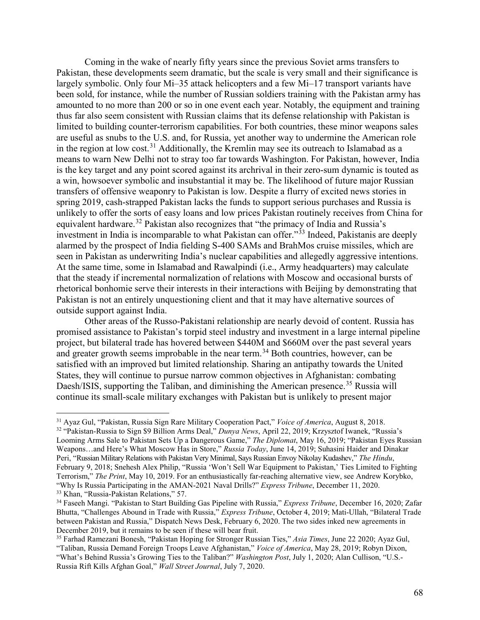Coming in the wake of nearly fifty years since the previous Soviet arms transfers to Pakistan, these developments seem dramatic, but the scale is very small and their significance is largely symbolic. Only four Mi–35 attack helicopters and a few Mi–17 transport variants have been sold, for instance, while the number of Russian soldiers training with the Pakistan army has amounted to no more than 200 or so in one event each year. Notably, the equipment and training thus far also seem consistent with Russian claims that its defense relationship with Pakistan is limited to building counter-terrorism capabilities. For both countries, these minor weapons sales are useful as snubs to the U.S. and, for Russia, yet another way to undermine the American role in the region at low cost.<sup>[31](#page-6-0)</sup> Additionally, the Kremlin may see its outreach to Islamabad as a means to warn New Delhi not to stray too far towards Washington. For Pakistan, however, India is the key target and any point scored against its archrival in their zero-sum dynamic is touted as a win, howsoever symbolic and insubstantial it may be. The likelihood of future major Russian transfers of offensive weaponry to Pakistan is low. Despite a flurry of excited news stories in spring 2019, cash-strapped Pakistan lacks the funds to support serious purchases and Russia is unlikely to offer the sorts of easy loans and low prices Pakistan routinely receives from China for equivalent hardware.[32](#page-6-1) Pakistan also recognizes that "the primacy of India and Russia's investment in India is incomparable to what Pakistan can offer."<sup>[33](#page-6-2)</sup> Indeed, Pakistanis are deeply alarmed by the prospect of India fielding S-400 SAMs and BrahMos cruise missiles, which are seen in Pakistan as underwriting India's nuclear capabilities and allegedly aggressive intentions. At the same time, some in Islamabad and Rawalpindi (i.e., Army headquarters) may calculate that the steady if incremental normalization of relations with Moscow and occasional bursts of rhetorical bonhomie serve their interests in their interactions with Beijing by demonstrating that Pakistan is not an entirely unquestioning client and that it may have alternative sources of outside support against India.

Other areas of the Russo-Pakistani relationship are nearly devoid of content. Russia has promised assistance to Pakistan's torpid steel industry and investment in a large internal pipeline project, but bilateral trade has hovered between \$440M and \$660M over the past several years and greater growth seems improbable in the near term.<sup>[34](#page-6-3)</sup> Both countries, however, can be satisfied with an improved but limited relationship. Sharing an antipathy towards the United States, they will continue to pursue narrow common objectives in Afghanistan: combating Daesh/ISIS, supporting the Taliban, and diminishing the American presence.<sup>[35](#page-6-4)</sup> Russia will continue its small-scale military exchanges with Pakistan but is unlikely to present major

<span id="page-6-0"></span> <sup>31</sup> Ayaz Gul, "Pakistan, Russia Sign Rare Military Cooperation Pact," *Voice of America*, August 8, 2018.

<span id="page-6-1"></span><sup>32</sup> "Pakistan-Russia to Sign \$9 Billion Arms Deal," *Dunya News*, April 22, 2019; Krzysztof Iwanek, "Russia's Looming Arms Sale to Pakistan Sets Up a Dangerous Game," *The Diplomat*, May 16, 2019; "Pakistan Eyes Russian Weapons…and Here's What Moscow Has in Store," *Russia Today*, June 14, 2019; Suhasini Haider and Dinakar Peri, "Russian Military Relations with Pakistan Very Minimal, Says Russian Envoy Nikolay Kudashev," *The Hindu*, February 9, 2018; Snehesh Alex Philip, "Russia 'Won't Sell War Equipment to Pakistan,' Ties Limited to Fighting Terrorism," *The Print*, May 10, 2019. For an enthusiastically far-reaching alternative view, see Andrew Korybko, "Why Is Russia Participating in the AMAN-2021 Naval Drills?" *Express Tribune*, December 11, 2020.

<span id="page-6-2"></span><sup>33</sup> Khan, "Russia-Pakistan Relations," 57.

<span id="page-6-3"></span><sup>34</sup> Faseeh Mangi. "Pakistan to Start Building Gas Pipeline with Russia," *Express Tribune*, December 16, 2020; Zafar Bhutta, "Challenges Abound in Trade with Russia," *Express Tribune*, October 4, 2019; Mati-Ullah, "Bilateral Trade between Pakistan and Russia," Dispatch News Desk, February 6, 2020. The two sides inked new agreements in December 2019, but it remains to be seen if these will bear fruit.

<span id="page-6-4"></span><sup>35</sup> Farhad Ramezani Bonesh, "Pakistan Hoping for Stronger Russian Ties," *Asia Times*, June 22 2020; Ayaz Gul, "Taliban, Russia Demand Foreign Troops Leave Afghanistan," *Voice of America*, May 28, 2019; Robyn Dixon, "What's Behind Russia's Growing Ties to the Taliban?" *Washington Post*, July 1, 2020; Alan Cullison, "U.S.- Russia Rift Kills Afghan Goal," *Wall Street Journal*, July 7, 2020.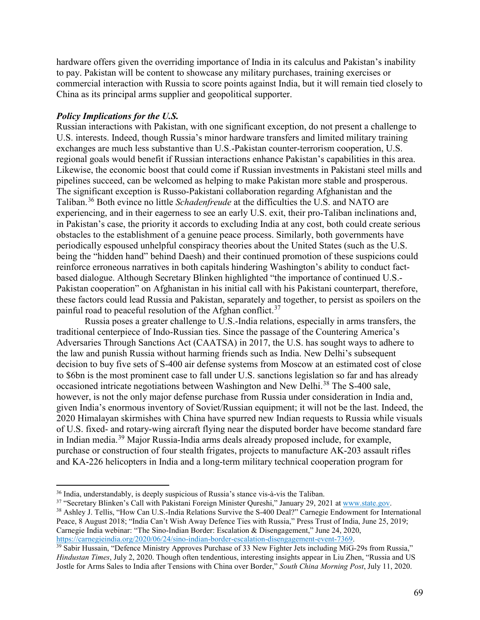hardware offers given the overriding importance of India in its calculus and Pakistan's inability to pay. Pakistan will be content to showcase any military purchases, training exercises or commercial interaction with Russia to score points against India, but it will remain tied closely to China as its principal arms supplier and geopolitical supporter.

#### *Policy Implications for the U.S.*

Russian interactions with Pakistan, with one significant exception, do not present a challenge to U.S. interests. Indeed, though Russia's minor hardware transfers and limited military training exchanges are much less substantive than U.S.-Pakistan counter-terrorism cooperation, U.S. regional goals would benefit if Russian interactions enhance Pakistan's capabilities in this area. Likewise, the economic boost that could come if Russian investments in Pakistani steel mills and pipelines succeed, can be welcomed as helping to make Pakistan more stable and prosperous. The significant exception is Russo-Pakistani collaboration regarding Afghanistan and the Taliban.[36](#page-7-0) Both evince no little *Schadenfreude* at the difficulties the U.S. and NATO are experiencing, and in their eagerness to see an early U.S. exit, their pro-Taliban inclinations and, in Pakistan's case, the priority it accords to excluding India at any cost, both could create serious obstacles to the establishment of a genuine peace process. Similarly, both governments have periodically espoused unhelpful conspiracy theories about the United States (such as the U.S. being the "hidden hand" behind Daesh) and their continued promotion of these suspicions could reinforce erroneous narratives in both capitals hindering Washington's ability to conduct factbased dialogue. Although Secretary Blinken highlighted "the importance of continued U.S.- Pakistan cooperation" on Afghanistan in his initial call with his Pakistani counterpart, therefore, these factors could lead Russia and Pakistan, separately and together, to persist as spoilers on the painful road to peaceful resolution of the Afghan conflict.<sup>[37](#page-7-1)</sup>

Russia poses a greater challenge to U.S.-India relations, especially in arms transfers, the traditional centerpiece of Indo-Russian ties. Since the passage of the Countering America's Adversaries Through Sanctions Act (CAATSA) in 2017, the U.S. has sought ways to adhere to the law and punish Russia without harming friends such as India. New Delhi's subsequent decision to buy five sets of S-400 air defense systems from Moscow at an estimated cost of close to \$6bn is the most prominent case to fall under U.S. sanctions legislation so far and has already occasioned intricate negotiations between Washington and New Delhi.<sup>[38](#page-7-2)</sup> The S-400 sale, however, is not the only major defense purchase from Russia under consideration in India and, given India's enormous inventory of Soviet/Russian equipment; it will not be the last. Indeed, the 2020 Himalayan skirmishes with China have spurred new Indian requests to Russia while visuals of U.S. fixed- and rotary-wing aircraft flying near the disputed border have become standard fare in Indian media.[39](#page-7-3) Major Russia-India arms deals already proposed include, for example, purchase or construction of four stealth frigates, projects to manufacture AK-203 assault rifles and KA-226 helicopters in India and a long-term military technical cooperation program for

<span id="page-7-1"></span><sup>37</sup> "Secretary Blinken's Call with Pakistani Foreign Minister Qureshi," January 29, 2021 at www.state.gov.

<span id="page-7-0"></span> <sup>36</sup> India, understandably, is deeply suspicious of Russia's stance vis-à-vis the Taliban.

<span id="page-7-2"></span><sup>&</sup>lt;sup>38</sup> Ashley J. Tellis, "How Can U.S.-India Relations Survive the S-400 Deal?" Carnegie Endowment for International Peace, 8 August 2018; "India Can't Wish Away Defence Ties with Russia," Press Trust of India, June 25, 2019; Carnegie India webinar: "The Sino-Indian Border: Escalation & Disengagement," June 24, 2020, [https://carnegieindia.org/2020/06/24/sino-indian-border-escalation-disengagement-event-7369.](https://carnegieindia.org/2020/06/24/sino-indian-border-escalation-disengagement-event-7369)

<span id="page-7-3"></span><sup>&</sup>lt;sup>39</sup> Sabir Hussain, "Defence Ministry Approves Purchase of 33 New Fighter Jets including MiG-29s from Russia," *Hindustan Times*, July 2, 2020. Though often tendentious, interesting insights appear in Liu Zhen, "Russia and US Jostle for Arms Sales to India after Tensions with China over Border," *South China Morning Post*, July 11, 2020.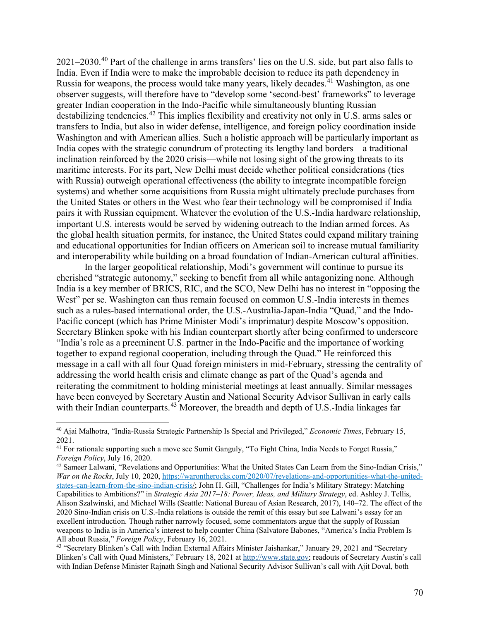2021–2030.[40](#page-8-0) Part of the challenge in arms transfers' lies on the U.S. side, but part also falls to India. Even if India were to make the improbable decision to reduce its path dependency in Russia for weapons, the process would take many years, likely decades.<sup>[41](#page-8-1)</sup> Washington, as one observer suggests, will therefore have to "develop some 'second-best' frameworks" to leverage greater Indian cooperation in the Indo-Pacific while simultaneously blunting Russian destabilizing tendencies.[42](#page-8-2) This implies flexibility and creativity not only in U.S. arms sales or transfers to India, but also in wider defense, intelligence, and foreign policy coordination inside Washington and with American allies. Such a holistic approach will be particularly important as India copes with the strategic conundrum of protecting its lengthy land borders—a traditional inclination reinforced by the 2020 crisis—while not losing sight of the growing threats to its maritime interests. For its part, New Delhi must decide whether political considerations (ties with Russia) outweigh operational effectiveness (the ability to integrate incompatible foreign systems) and whether some acquisitions from Russia might ultimately preclude purchases from the United States or others in the West who fear their technology will be compromised if India pairs it with Russian equipment. Whatever the evolution of the U.S.-India hardware relationship, important U.S. interests would be served by widening outreach to the Indian armed forces. As the global health situation permits, for instance, the United States could expand military training and educational opportunities for Indian officers on American soil to increase mutual familiarity and interoperability while building on a broad foundation of Indian-American cultural affinities.

In the larger geopolitical relationship, Modi's government will continue to pursue its cherished "strategic autonomy," seeking to benefit from all while antagonizing none. Although India is a key member of BRICS, RIC, and the SCO, New Delhi has no interest in "opposing the West" per se. Washington can thus remain focused on common U.S.-India interests in themes such as a rules-based international order, the U.S.-Australia-Japan-India "Quad," and the Indo-Pacific concept (which has Prime Minister Modi's imprimatur) despite Moscow's opposition. Secretary Blinken spoke with his Indian counterpart shortly after being confirmed to underscore "India's role as a preeminent U.S. partner in the Indo-Pacific and the importance of working together to expand regional cooperation, including through the Quad." He reinforced this message in a call with all four Quad foreign ministers in mid-February, stressing the centrality of addressing the world health crisis and climate change as part of the Quad's agenda and reiterating the commitment to holding ministerial meetings at least annually. Similar messages have been conveyed by Secretary Austin and National Security Advisor Sullivan in early calls with their Indian counterparts.<sup>[43](#page-8-3)</sup> Moreover, the breadth and depth of U.S.-India linkages far

<span id="page-8-0"></span> <sup>40</sup> Ajai Malhotra, "India-Russia Strategic Partnership Is Special and Privileged," *Economic Times*, February 15, 2021.

<span id="page-8-1"></span><sup>&</sup>lt;sup>41</sup> For rationale supporting such a move see Sumit Ganguly, "To Fight China, India Needs to Forget Russia," *Foreign Policy*, July 16, 2020.

<span id="page-8-2"></span><sup>42</sup> Sameer Lalwani, "Revelations and Opportunities: What the United States Can Learn from the Sino-Indian Crisis," *War on the Rocks*, July 10, 2020, [https://warontherocks.com/2020/07/revelations-and-opportunities-what-the-united](https://warontherocks.com/2020/07/revelations-and-opportunities-what-the-united-states-can-learn-from-the-sino-indian-crisis/)[states-can-learn-from-the-sino-indian-crisis/;](https://warontherocks.com/2020/07/revelations-and-opportunities-what-the-united-states-can-learn-from-the-sino-indian-crisis/) John H. Gill, "Challenges for India's Military Strategy: Matching Capabilities to Ambitions?" in *Strategic Asia 2017–18: Power, Ideas, and Military Strategy*, ed. Ashley J. Tellis, Alison Szalwinski, and Michael Wills (Seattle: National Bureau of Asian Research, 2017), 140–72. The effect of the 2020 Sino-Indian crisis on U.S.-India relations is outside the remit of this essay but see Lalwani's essay for an excellent introduction. Though rather narrowly focused, some commentators argue that the supply of Russian weapons to India is in America's interest to help counter China (Salvatore Babones, "America's India Problem Is All about Russia," *Foreign Policy*, February 16, 2021.

<span id="page-8-3"></span><sup>43</sup> "Secretary Blinken's Call with Indian External Affairs Minister Jaishankar," January 29, 2021 and "Secretary Blinken's Call with Quad Ministers," February 18, 2021 at [http://www.state.gov;](http://www.state.gov/) readouts of Secretary Austin's call with Indian Defense Minister Rajnath Singh and National Security Advisor Sullivan's call with Ajit Doval, both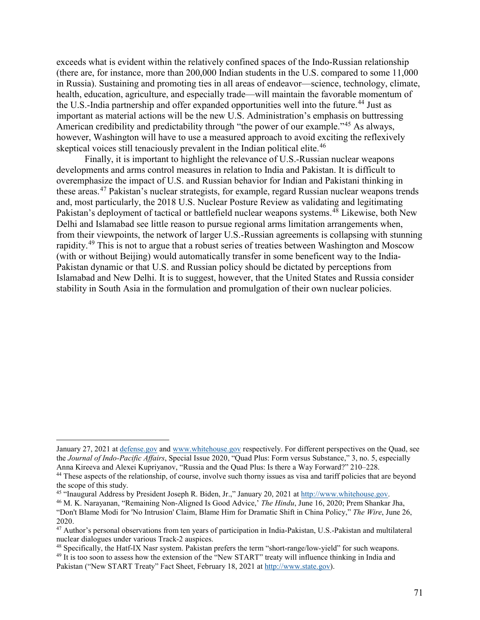exceeds what is evident within the relatively confined spaces of the Indo-Russian relationship (there are, for instance, more than 200,000 Indian students in the U.S. compared to some 11,000 in Russia). Sustaining and promoting ties in all areas of endeavor—science, technology, climate, health, education, agriculture, and especially trade—will maintain the favorable momentum of the U.S.-India partnership and offer expanded opportunities well into the future.<sup>[44](#page-9-0)</sup> Just as important as material actions will be the new U.S. Administration's emphasis on buttressing American credibility and predictability through "the power of our example."<sup>[45](#page-9-1)</sup> As always, however, Washington will have to use a measured approach to avoid exciting the reflexively skeptical voices still tenaciously prevalent in the Indian political elite.<sup>[46](#page-9-2)</sup>

Finally, it is important to highlight the relevance of U.S.-Russian nuclear weapons developments and arms control measures in relation to India and Pakistan. It is difficult to overemphasize the impact of U.S. and Russian behavior for Indian and Pakistani thinking in these areas.[47](#page-9-3) Pakistan's nuclear strategists, for example, regard Russian nuclear weapons trends and, most particularly, the 2018 U.S. Nuclear Posture Review as validating and legitimating Pakistan's deployment of tactical or battlefield nuclear weapons systems.<sup>[48](#page-9-4)</sup> Likewise, both New Delhi and Islamabad see little reason to pursue regional arms limitation arrangements when, from their viewpoints, the network of larger U.S.-Russian agreements is collapsing with stunning rapidity.[49](#page-9-5) This is not to argue that a robust series of treaties between Washington and Moscow (with or without Beijing) would automatically transfer in some beneficent way to the India-Pakistan dynamic or that U.S. and Russian policy should be dictated by perceptions from Islamabad and New Delhi. It is to suggest, however, that the United States and Russia consider stability in South Asia in the formulation and promulgation of their own nuclear policies.

 $\overline{a}$ 

January 27, 2021 at [defense.gov](https://www.defense.gov/) and [www.whitehouse.gov](http://www.whitehouse.gov/) respectively. For different perspectives on the Quad, see the *Journal of Indo-Pacific Affairs*, Special Issue 2020, "Quad Plus: Form versus Substance," 3, no. 5, especially Anna Kireeva and Alexei Kupriyanov, "Russia and the Quad Plus: Is there a Way Forward?" 210–228.

<span id="page-9-0"></span><sup>44</sup> These aspects of the relationship, of course, involve such thorny issues as visa and tariff policies that are beyond the scope of this study.

<span id="page-9-1"></span><sup>45</sup> "Inaugural Address by President Joseph R. Biden, Jr.," January 20, 2021 at [http://www.whitehouse.gov.](http://www.whitehouse.gov/)

<span id="page-9-2"></span><sup>46</sup> M. K. Narayanan, "Remaining Non-Aligned Is Good Advice,' *The Hindu*, June 16, 2020; Prem Shankar Jha, "Don't Blame Modi for 'No Intrusion' Claim, Blame Him for Dramatic Shift in China Policy," *The Wire*, June 26, 2020.

<span id="page-9-3"></span><sup>&</sup>lt;sup>47</sup> Author's personal observations from ten years of participation in India-Pakistan, U.S.-Pakistan and multilateral nuclear dialogues under various Track-2 auspices.

<span id="page-9-5"></span><span id="page-9-4"></span><sup>48</sup> Specifically, the Hatf-IX Nasr system. Pakistan prefers the term "short-range/low-yield" for such weapons. <sup>49</sup> It is too soon to assess how the extension of the "New START" treaty will influence thinking in India and Pakistan ("New START Treaty" Fact Sheet, February 18, 2021 a[t http://www.state.gov\)](http://www.state.gov/).